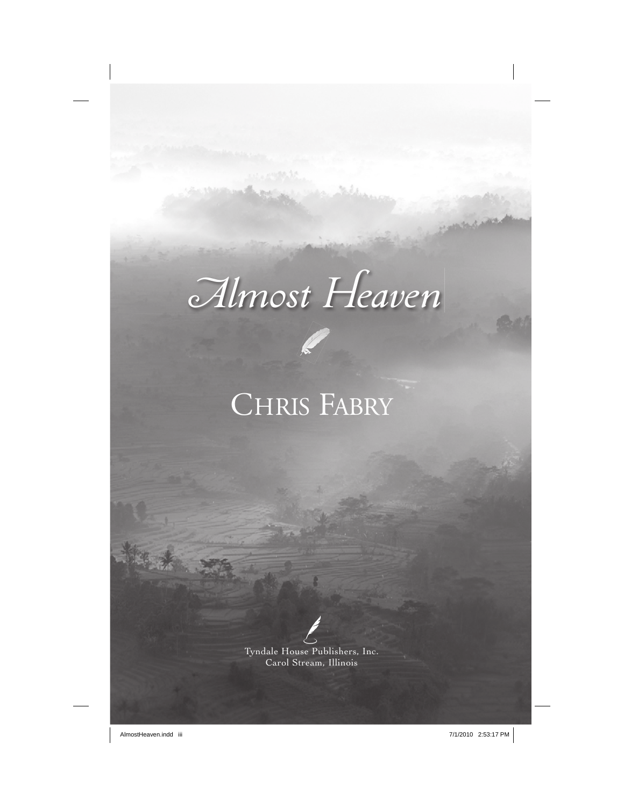# *Almost Heaven*

## CHRIS FABRY



Tyndale House Publishers, Inc. Carol Stream, Illinois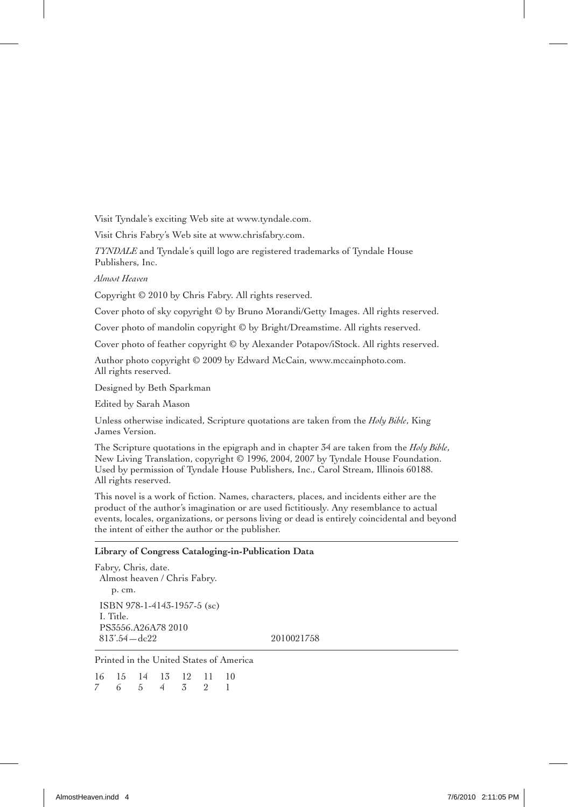Visit Tyndale's exciting Web site at www.tyndale.com.

Visit Chris Fabry's Web site at www.chrisfabry.com.

*TYNDALE* and Tyndale's quill logo are registered trademarks of Tyndale House Publishers, Inc.

*Almost Heaven*

Copyright © 2010 by Chris Fabry. All rights reserved.

Cover photo of sky copyright © by Bruno Morandi/Getty Images. All rights reserved.

Cover photo of mandolin copyright © by Bright/Dreamstime. All rights reserved.

Cover photo of feather copyright © by Alexander Potapov/iStock. All rights reserved.

Author photo copyright © 2009 by Edward McCain, www.mccainphoto.com. All rights reserved.

Designed by Beth Sparkman

Edited by Sarah Mason

Unless otherwise indicated, Scripture quotations are taken from the *Holy Bible*, King James Version.

The Scripture quotations in the epigraph and in chapter 34 are taken from the *Holy Bible*, New Living Translation, copyright © 1996, 2004, 2007 by Tyndale House Foundation. Used by permission of Tyndale House Publishers, Inc., Carol Stream, Illinois 60188. All rights reserved.

This novel is a work of fiction. Names, characters, places, and incidents either are the product of the author's imagination or are used fictitiously. Any resemblance to actual events, locales, organizations, or persons living or dead is entirely coincidental and beyond the intent of either the author or the publisher.

#### **Library of Congress Cataloging-in-Publication Data**

Fabry, Chris, date. Almost heaven / Chris Fabry. p. cm. ISBN 978-1-4143-1957-5 (sc) I. Title. PS3556.A26A78 2010 813'.54—dc22 2010021758

Printed in the United States of America

16 15 14 13 12 11 10 7 6 5 4 3 2 1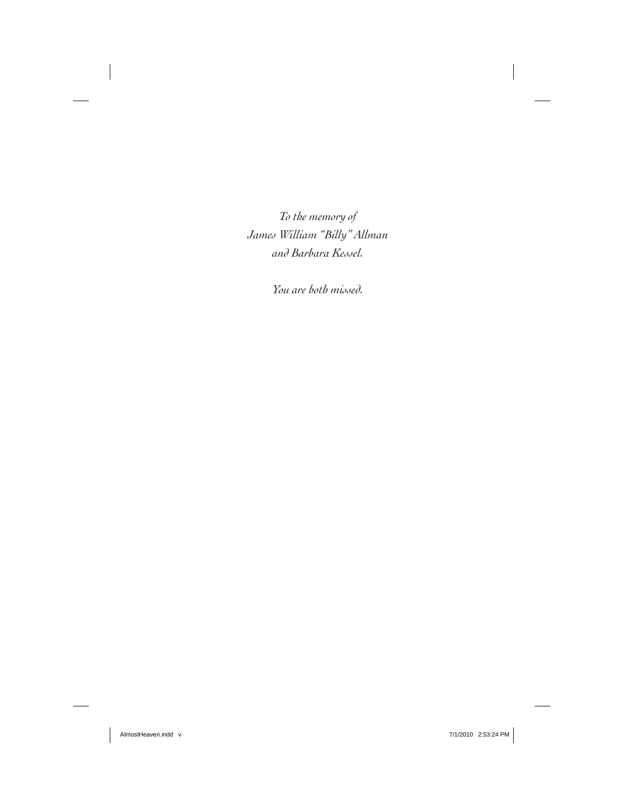*To the memory of James William "Billy" Allman and Barbara Kessel.*

*You are both missed.*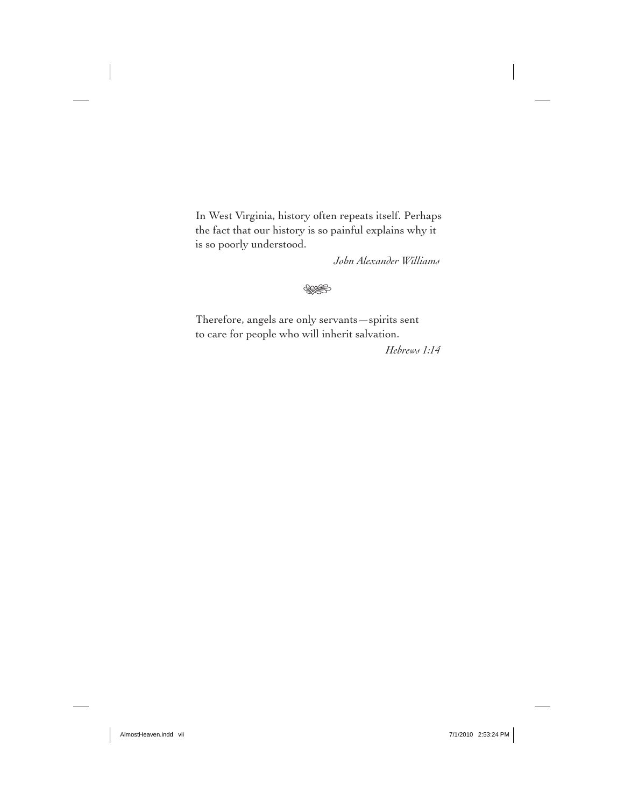In West Virginia, history often repeats itself. Perhaps the fact that our history is so painful explains why it is so poorly understood.

*John Alexander Williams*



Therefore, angels are only servants—spirits sent to care for people who will inherit salvation.

*Hebrews 1:14*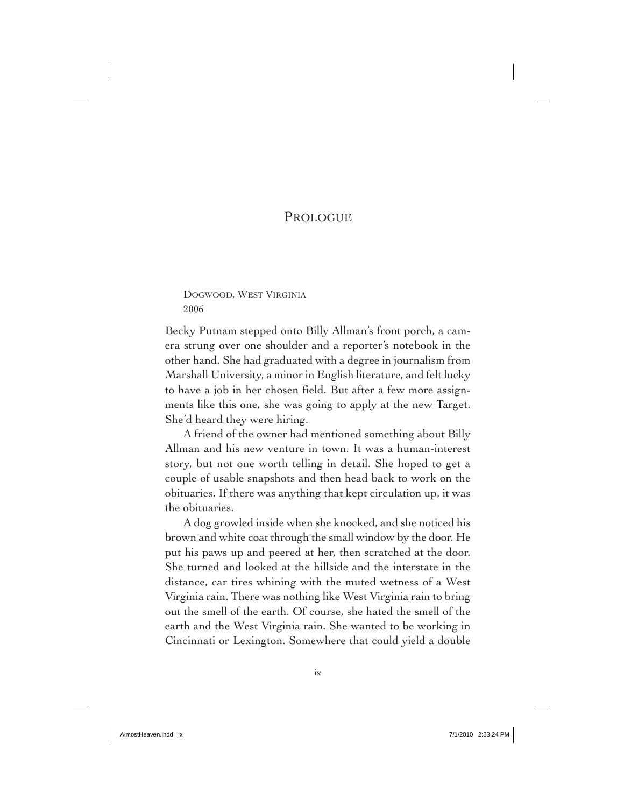#### **PROLOGUE**

DOGWOOD, WEST VIRGINIA 2006

Becky Putnam stepped onto Billy Allman's front porch, a camera strung over one shoulder and a reporter's notebook in the other hand. She had graduated with a degree in journalism from Marshall University, a minor in English literature, and felt lucky to have a job in her chosen field. But after a few more assignments like this one, she was going to apply at the new Target. She'd heard they were hiring.

A friend of the owner had mentioned something about Billy Allman and his new venture in town. It was a human-interest story, but not one worth telling in detail. She hoped to get a couple of usable snapshots and then head back to work on the obituaries. If there was anything that kept circulation up, it was the obituaries.

A dog growled inside when she knocked, and she noticed his brown and white coat through the small window by the door. He put his paws up and peered at her, then scratched at the door. She turned and looked at the hillside and the interstate in the distance, car tires whining with the muted wetness of a West Virginia rain. There was nothing like West Virginia rain to bring out the smell of the earth. Of course, she hated the smell of the earth and the West Virginia rain. She wanted to be working in Cincinnati or Lexington. Somewhere that could yield a double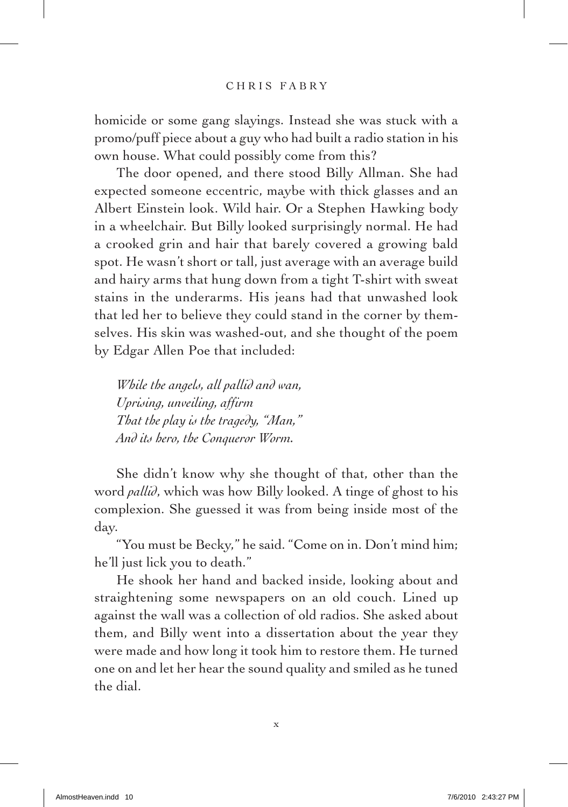homicide or some gang slayings. Instead she was stuck with a promo/puff piece about a guy who had built a radio station in his own house. What could possibly come from this?

The door opened, and there stood Billy Allman. She had expected someone eccentric, maybe with thick glasses and an Albert Einstein look. Wild hair. Or a Stephen Hawking body in a wheelchair. But Billy looked surprisingly normal. He had a crooked grin and hair that barely covered a growing bald spot. He wasn't short or tall, just average with an average build and hairy arms that hung down from a tight T-shirt with sweat stains in the underarms. His jeans had that unwashed look that led her to believe they could stand in the corner by themselves. His skin was washed-out, and she thought of the poem by Edgar Allen Poe that included:

*While the angels, all pallid and wan, Uprising, unveiling, affirm That the play is the tragedy, "Man," And its hero, the Conqueror Worm.*

She didn't know why she thought of that, other than the word *pallid*, which was how Billy looked. A tinge of ghost to his complexion. She guessed it was from being inside most of the day.

"You must be Becky," he said. "Come on in. Don't mind him; he'll just lick you to death."

He shook her hand and backed inside, looking about and straightening some newspapers on an old couch. Lined up against the wall was a collection of old radios. She asked about them, and Billy went into a dissertation about the year they were made and how long it took him to restore them. He turned one on and let her hear the sound quality and smiled as he tuned the dial.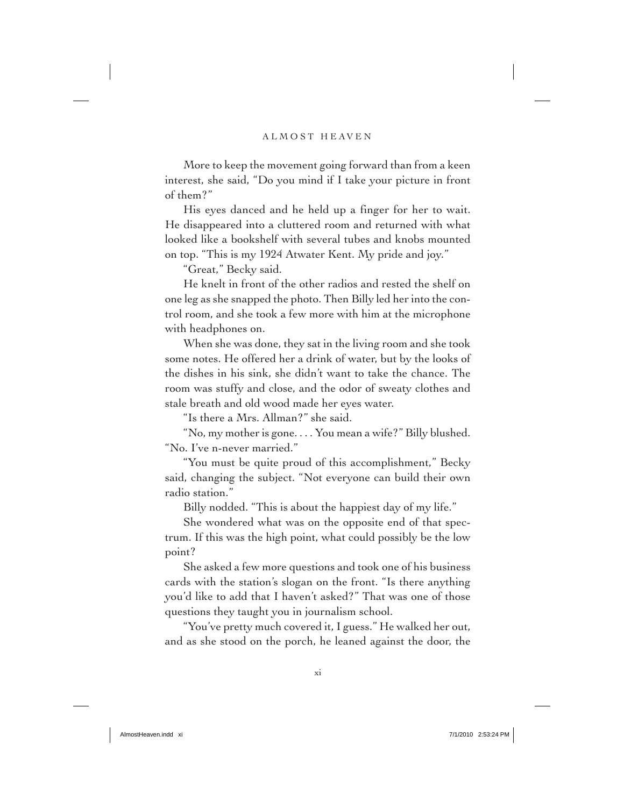More to keep the movement going forward than from a keen interest, she said, "Do you mind if I take your picture in front of them?"

His eyes danced and he held up a finger for her to wait. He disappeared into a cluttered room and returned with what looked like a bookshelf with several tubes and knobs mounted on top. "This is my 1924 Atwater Kent. My pride and joy."

"Great," Becky said.

He knelt in front of the other radios and rested the shelf on one leg as she snapped the photo. Then Billy led her into the control room, and she took a few more with him at the microphone with headphones on.

When she was done, they sat in the living room and she took some notes. He offered her a drink of water, but by the looks of the dishes in his sink, she didn't want to take the chance. The room was stuffy and close, and the odor of sweaty clothes and stale breath and old wood made her eyes water.

"Is there a Mrs. Allman?" she said.

"No, my mother is gone. . . . You mean a wife?" Billy blushed. "No. I've n-never married."

"You must be quite proud of this accomplishment," Becky said, changing the subject. "Not everyone can build their own radio station."

Billy nodded. "This is about the happiest day of my life."

She wondered what was on the opposite end of that spectrum. If this was the high point, what could possibly be the low point?

She asked a few more questions and took one of his business cards with the station's slogan on the front. "Is there anything you'd like to add that I haven't asked?" That was one of those questions they taught you in journalism school.

"You've pretty much covered it, I guess." He walked her out, and as she stood on the porch, he leaned against the door, the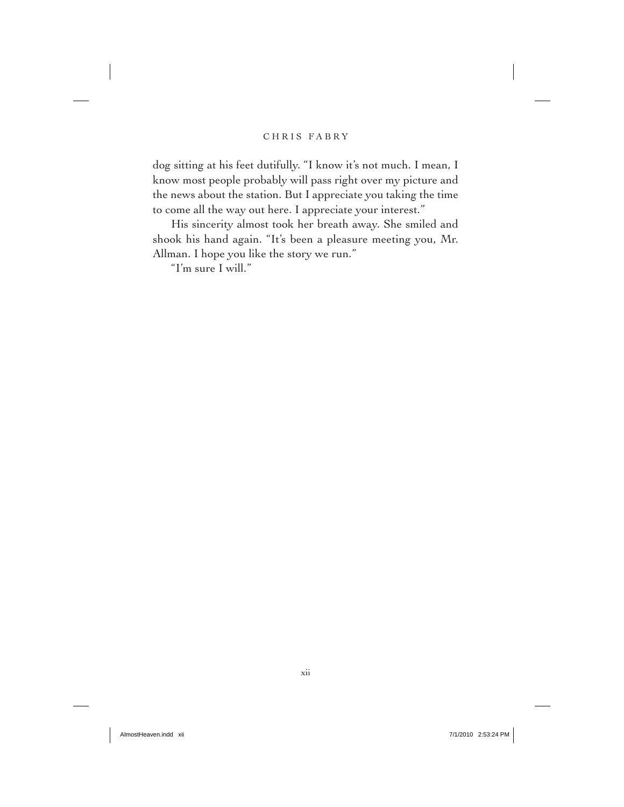dog sitting at his feet dutifully. "I know it's not much. I mean, I know most people probably will pass right over my picture and the news about the station. But I appreciate you taking the time to come all the way out here. I appreciate your interest."

His sincerity almost took her breath away. She smiled and shook his hand again. "It's been a pleasure meeting you, Mr. Allman. I hope you like the story we run."

"I'm sure I will."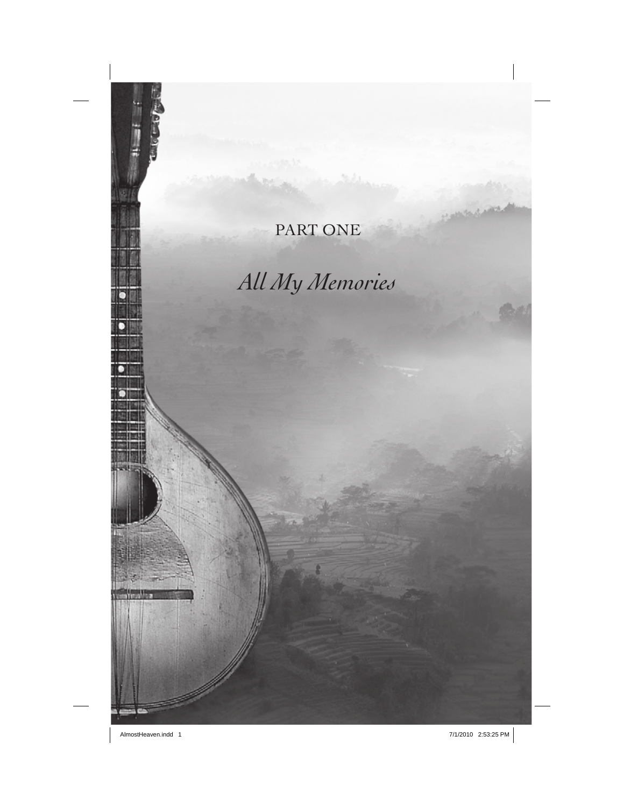### PART ONE

**PLODE** 

### *All My Memories*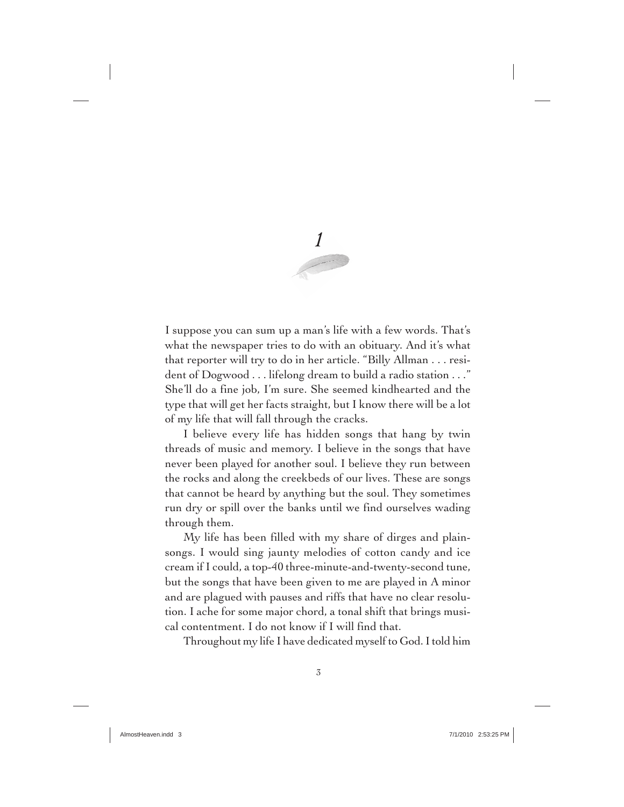

I suppose you can sum up a man's life with a few words. That's what the newspaper tries to do with an obituary. And it's what that reporter will try to do in her article. "Billy Allman . . . resident of Dogwood . . . lifelong dream to build a radio station . . ." She'll do a fine job, I'm sure. She seemed kindhearted and the type that will get her facts straight, but I know there will be a lot of my life that will fall through the cracks.

I believe every life has hidden songs that hang by twin threads of music and memory. I believe in the songs that have never been played for another soul. I believe they run between the rocks and along the creekbeds of our lives. These are songs that cannot be heard by anything but the soul. They sometimes run dry or spill over the banks until we find ourselves wading through them.

My life has been filled with my share of dirges and plainsongs. I would sing jaunty melodies of cotton candy and ice cream if I could, a top-40 three-minute-and-twenty-second tune, but the songs that have been given to me are played in A minor and are plagued with pauses and riffs that have no clear resolution. I ache for some major chord, a tonal shift that brings musical contentment. I do not know if I will find that.

Throughout my life I have dedicated myself to God. I told him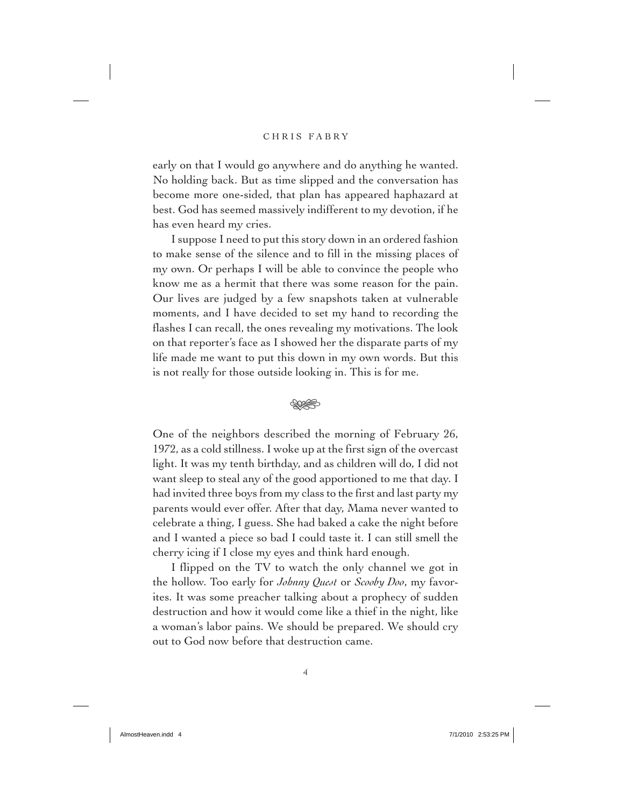early on that I would go anywhere and do anything he wanted. No holding back. But as time slipped and the conversation has become more one-sided, that plan has appeared haphazard at best. God has seemed massively indifferent to my devotion, if he has even heard my cries.

I suppose I need to put this story down in an ordered fashion to make sense of the silence and to fill in the missing places of my own. Or perhaps I will be able to convince the people who know me as a hermit that there was some reason for the pain. Our lives are judged by a few snapshots taken at vulnerable moments, and I have decided to set my hand to recording the flashes I can recall, the ones revealing my motivations. The look on that reporter's face as I showed her the disparate parts of my life made me want to put this down in my own words. But this is not really for those outside looking in. This is for me.



One of the neighbors described the morning of February 26, 1972, as a cold stillness. I woke up at the first sign of the overcast light. It was my tenth birthday, and as children will do, I did not want sleep to steal any of the good apportioned to me that day. I had invited three boys from my class to the first and last party my parents would ever offer. After that day, Mama never wanted to celebrate a thing, I guess. She had baked a cake the night before and I wanted a piece so bad I could taste it. I can still smell the cherry icing if I close my eyes and think hard enough.

I flipped on the TV to watch the only channel we got in the hollow. Too early for *Johnny Quest* or *Scooby Doo*, my favorites. It was some preacher talking about a prophecy of sudden destruction and how it would come like a thief in the night, like a woman's labor pains. We should be prepared. We should cry out to God now before that destruction came.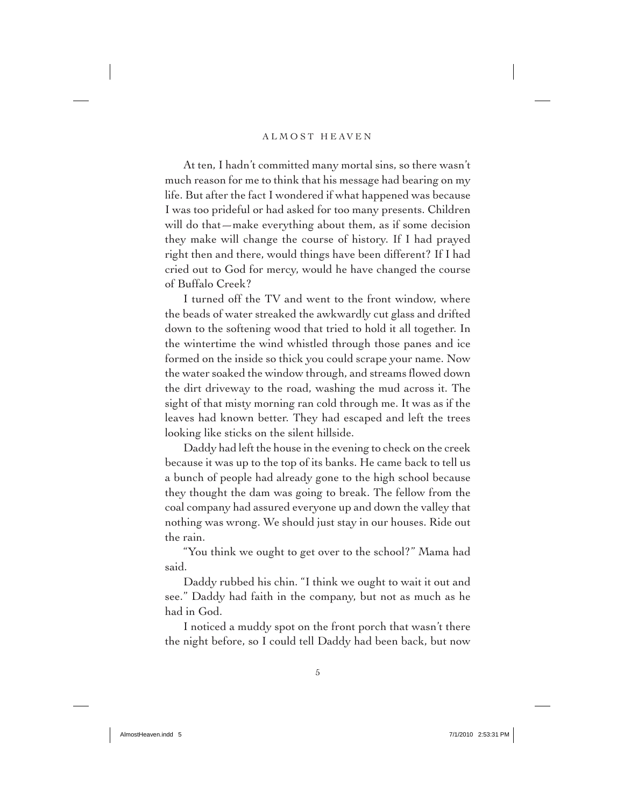At ten, I hadn't committed many mortal sins, so there wasn't much reason for me to think that his message had bearing on my life. But after the fact I wondered if what happened was because I was too prideful or had asked for too many presents. Children will do that—make everything about them, as if some decision they make will change the course of history. If I had prayed right then and there, would things have been different? If I had cried out to God for mercy, would he have changed the course of Buffalo Creek?

I turned off the TV and went to the front window, where the beads of water streaked the awkwardly cut glass and drifted down to the softening wood that tried to hold it all together. In the wintertime the wind whistled through those panes and ice formed on the inside so thick you could scrape your name. Now the water soaked the window through, and streams flowed down the dirt driveway to the road, washing the mud across it. The sight of that misty morning ran cold through me. It was as if the leaves had known better. They had escaped and left the trees looking like sticks on the silent hillside.

Daddy had left the house in the evening to check on the creek because it was up to the top of its banks. He came back to tell us a bunch of people had already gone to the high school because they thought the dam was going to break. The fellow from the coal company had assured everyone up and down the valley that nothing was wrong. We should just stay in our houses. Ride out the rain.

"You think we ought to get over to the school?" Mama had said.

Daddy rubbed his chin. "I think we ought to wait it out and see." Daddy had faith in the company, but not as much as he had in God.

I noticed a muddy spot on the front porch that wasn't there the night before, so I could tell Daddy had been back, but now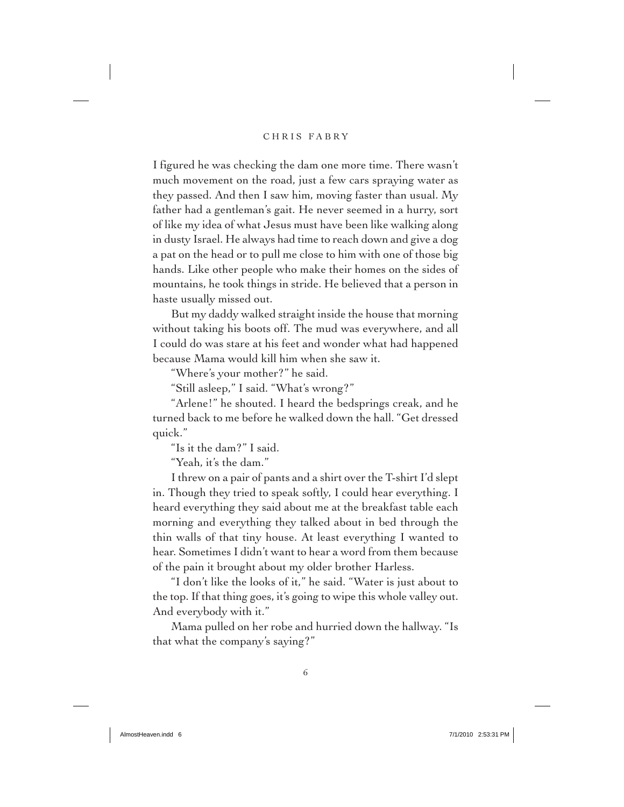I figured he was checking the dam one more time. There wasn't much movement on the road, just a few cars spraying water as they passed. And then I saw him, moving faster than usual. My father had a gentleman's gait. He never seemed in a hurry, sort of like my idea of what Jesus must have been like walking along in dusty Israel. He always had time to reach down and give a dog a pat on the head or to pull me close to him with one of those big hands. Like other people who make their homes on the sides of mountains, he took things in stride. He believed that a person in haste usually missed out.

But my daddy walked straight inside the house that morning without taking his boots off. The mud was everywhere, and all I could do was stare at his feet and wonder what had happened because Mama would kill him when she saw it.

"Where's your mother?" he said.

"Still asleep," I said. "What's wrong?"

"Arlene!" he shouted. I heard the bedsprings creak, and he turned back to me before he walked down the hall. "Get dressed quick."

"Is it the dam?" I said.

"Yeah, it's the dam."

I threw on a pair of pants and a shirt over the T-shirt I'd slept in. Though they tried to speak softly, I could hear everything. I heard everything they said about me at the breakfast table each morning and everything they talked about in bed through the thin walls of that tiny house. At least everything I wanted to hear. Sometimes I didn't want to hear a word from them because of the pain it brought about my older brother Harless.

"I don't like the looks of it," he said. "Water is just about to the top. If that thing goes, it's going to wipe this whole valley out. And everybody with it."

Mama pulled on her robe and hurried down the hallway. "Is that what the company's saying?"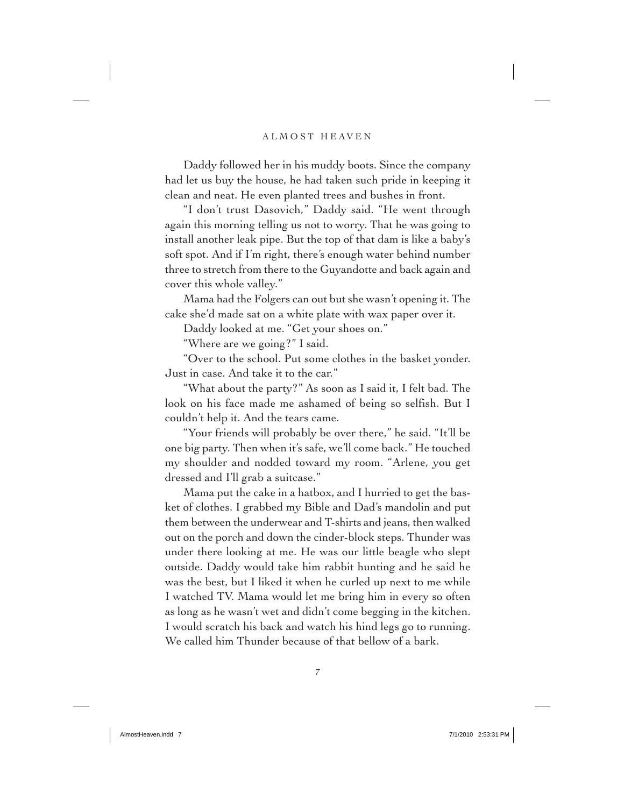Daddy followed her in his muddy boots. Since the company had let us buy the house, he had taken such pride in keeping it clean and neat. He even planted trees and bushes in front.

"I don't trust Dasovich," Daddy said. "He went through again this morning telling us not to worry. That he was going to install another leak pipe. But the top of that dam is like a baby's soft spot. And if I'm right, there's enough water behind number three to stretch from there to the Guyandotte and back again and cover this whole valley."

Mama had the Folgers can out but she wasn't opening it. The cake she'd made sat on a white plate with wax paper over it.

Daddy looked at me. "Get your shoes on."

"Where are we going?" I said.

"Over to the school. Put some clothes in the basket yonder. Just in case. And take it to the car."

"What about the party?" As soon as I said it, I felt bad. The look on his face made me ashamed of being so selfish. But I couldn't help it. And the tears came.

"Your friends will probably be over there," he said. "It'll be one big party. Then when it's safe, we'll come back." He touched my shoulder and nodded toward my room. "Arlene, you get dressed and I'll grab a suitcase."

Mama put the cake in a hatbox, and I hurried to get the basket of clothes. I grabbed my Bible and Dad's mandolin and put them between the underwear and T-shirts and jeans, then walked out on the porch and down the cinder-block steps. Thunder was under there looking at me. He was our little beagle who slept outside. Daddy would take him rabbit hunting and he said he was the best, but I liked it when he curled up next to me while I watched TV. Mama would let me bring him in every so often as long as he wasn't wet and didn't come begging in the kitchen. I would scratch his back and watch his hind legs go to running. We called him Thunder because of that bellow of a bark.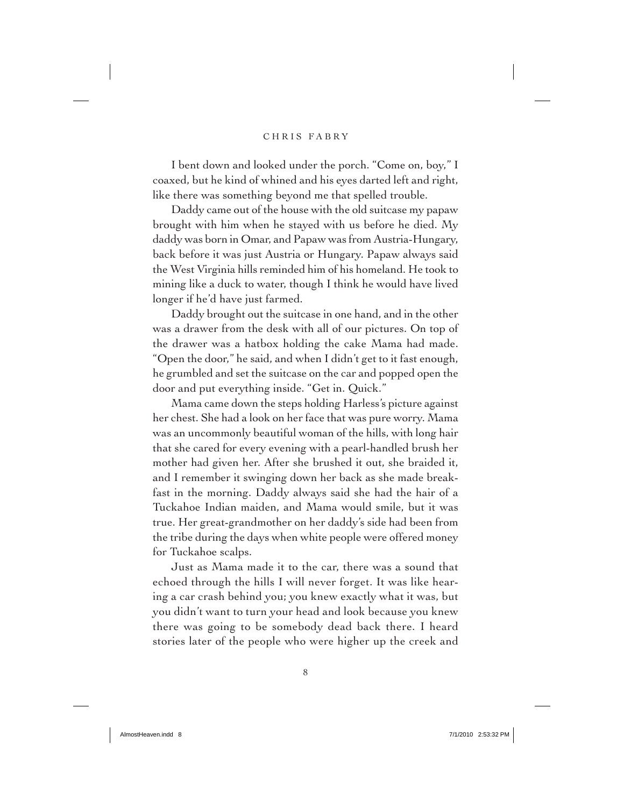I bent down and looked under the porch. "Come on, boy," I coaxed, but he kind of whined and his eyes darted left and right, like there was something beyond me that spelled trouble.

Daddy came out of the house with the old suitcase my papaw brought with him when he stayed with us before he died. My daddy was born in Omar, and Papaw was from Austria-Hungary, back before it was just Austria or Hungary. Papaw always said the West Virginia hills reminded him of his homeland. He took to mining like a duck to water, though I think he would have lived longer if he'd have just farmed.

Daddy brought out the suitcase in one hand, and in the other was a drawer from the desk with all of our pictures. On top of the drawer was a hatbox holding the cake Mama had made. "Open the door," he said, and when I didn't get to it fast enough, he grumbled and set the suitcase on the car and popped open the door and put everything inside. "Get in. Quick."

Mama came down the steps holding Harless's picture against her chest. She had a look on her face that was pure worry. Mama was an uncommonly beautiful woman of the hills, with long hair that she cared for every evening with a pearl-handled brush her mother had given her. After she brushed it out, she braided it, and I remember it swinging down her back as she made breakfast in the morning. Daddy always said she had the hair of a Tuckahoe Indian maiden, and Mama would smile, but it was true. Her great-grandmother on her daddy's side had been from the tribe during the days when white people were offered money for Tuckahoe scalps.

Just as Mama made it to the car, there was a sound that echoed through the hills I will never forget. It was like hearing a car crash behind you; you knew exactly what it was, but you didn't want to turn your head and look because you knew there was going to be somebody dead back there. I heard stories later of the people who were higher up the creek and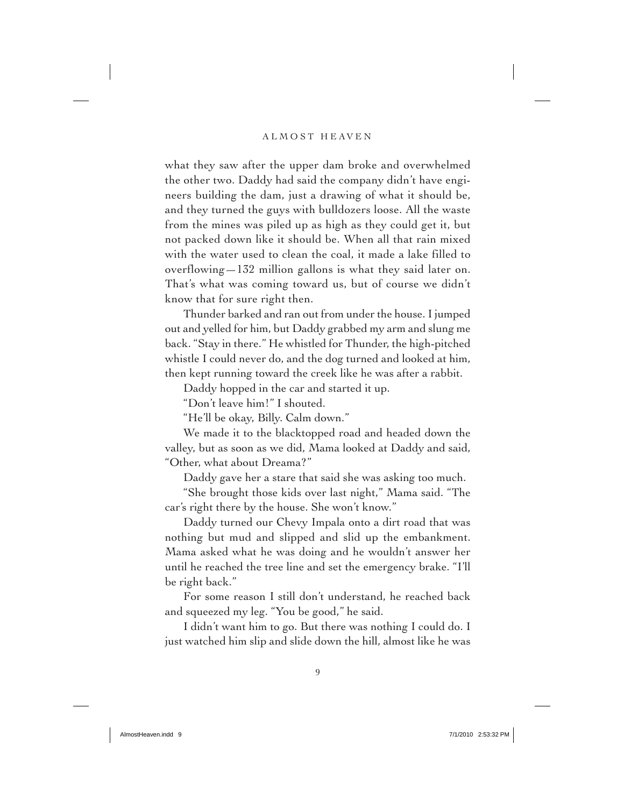what they saw after the upper dam broke and overwhelmed the other two. Daddy had said the company didn't have engineers building the dam, just a drawing of what it should be, and they turned the guys with bulldozers loose. All the waste from the mines was piled up as high as they could get it, but not packed down like it should be. When all that rain mixed with the water used to clean the coal, it made a lake filled to overflowing—132 million gallons is what they said later on. That's what was coming toward us, but of course we didn't know that for sure right then.

Thunder barked and ran out from under the house. I jumped out and yelled for him, but Daddy grabbed my arm and slung me back. "Stay in there." He whistled for Thunder, the high-pitched whistle I could never do, and the dog turned and looked at him, then kept running toward the creek like he was after a rabbit.

Daddy hopped in the car and started it up.

"Don't leave him!" I shouted.

"He'll be okay, Billy. Calm down."

We made it to the blacktopped road and headed down the valley, but as soon as we did, Mama looked at Daddy and said, "Other, what about Dreama?"

Daddy gave her a stare that said she was asking too much.

"She brought those kids over last night," Mama said. "The car's right there by the house. She won't know."

Daddy turned our Chevy Impala onto a dirt road that was nothing but mud and slipped and slid up the embankment. Mama asked what he was doing and he wouldn't answer her until he reached the tree line and set the emergency brake. "I'll be right back."

For some reason I still don't understand, he reached back and squeezed my leg. "You be good," he said.

I didn't want him to go. But there was nothing I could do. I just watched him slip and slide down the hill, almost like he was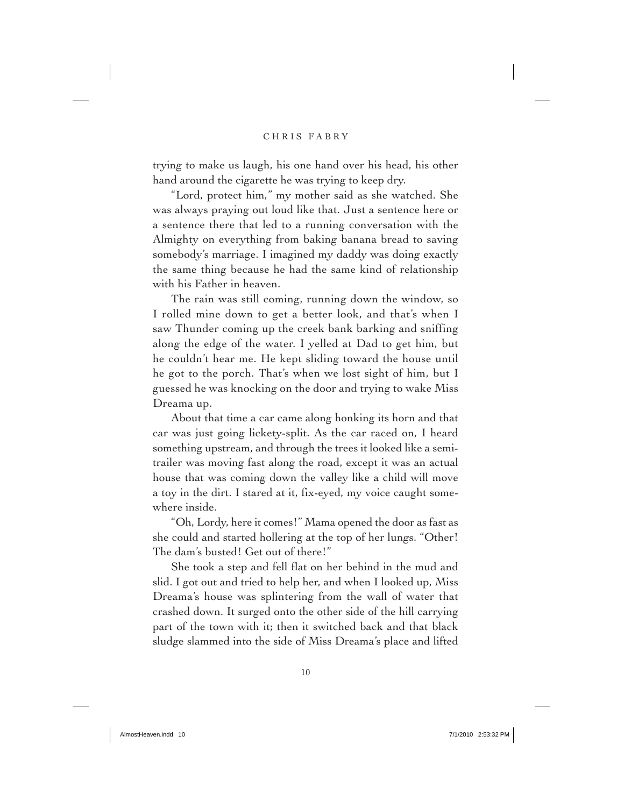trying to make us laugh, his one hand over his head, his other hand around the cigarette he was trying to keep dry.

"Lord, protect him," my mother said as she watched. She was always praying out loud like that. Just a sentence here or a sentence there that led to a running conversation with the Almighty on everything from baking banana bread to saving somebody's marriage. I imagined my daddy was doing exactly the same thing because he had the same kind of relationship with his Father in heaven.

The rain was still coming, running down the window, so I rolled mine down to get a better look, and that's when I saw Thunder coming up the creek bank barking and sniffing along the edge of the water. I yelled at Dad to get him, but he couldn't hear me. He kept sliding toward the house until he got to the porch. That's when we lost sight of him, but I guessed he was knocking on the door and trying to wake Miss Dreama up.

About that time a car came along honking its horn and that car was just going lickety-split. As the car raced on, I heard something upstream, and through the trees it looked like a semitrailer was moving fast along the road, except it was an actual house that was coming down the valley like a child will move a toy in the dirt. I stared at it, fix-eyed, my voice caught somewhere inside.

"Oh, Lordy, here it comes!" Mama opened the door as fast as she could and started hollering at the top of her lungs. "Other! The dam's busted! Get out of there!"

She took a step and fell flat on her behind in the mud and slid. I got out and tried to help her, and when I looked up, Miss Dreama's house was splintering from the wall of water that crashed down. It surged onto the other side of the hill carrying part of the town with it; then it switched back and that black sludge slammed into the side of Miss Dreama's place and lifted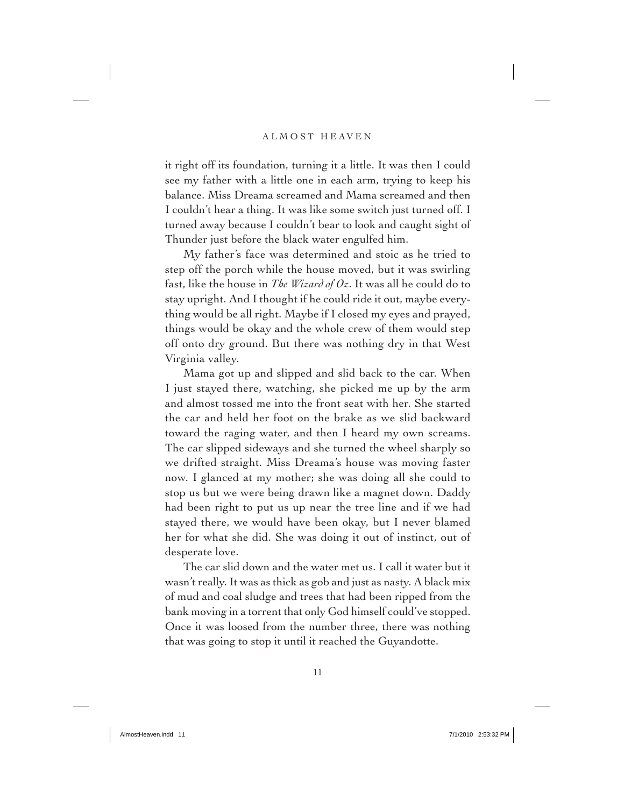it right off its foundation, turning it a little. It was then I could see my father with a little one in each arm, trying to keep his balance. Miss Dreama screamed and Mama screamed and then I couldn't hear a thing. It was like some switch just turned off. I turned away because I couldn't bear to look and caught sight of Thunder just before the black water engulfed him.

My father's face was determined and stoic as he tried to step off the porch while the house moved, but it was swirling fast, like the house in *The Wizard of Oz*. It was all he could do to stay upright. And I thought if he could ride it out, maybe everything would be all right. Maybe if I closed my eyes and prayed, things would be okay and the whole crew of them would step off onto dry ground. But there was nothing dry in that West Virginia valley.

Mama got up and slipped and slid back to the car. When I just stayed there, watching, she picked me up by the arm and almost tossed me into the front seat with her. She started the car and held her foot on the brake as we slid backward toward the raging water, and then I heard my own screams. The car slipped sideways and she turned the wheel sharply so we drifted straight. Miss Dreama's house was moving faster now. I glanced at my mother; she was doing all she could to stop us but we were being drawn like a magnet down. Daddy had been right to put us up near the tree line and if we had stayed there, we would have been okay, but I never blamed her for what she did. She was doing it out of instinct, out of desperate love.

The car slid down and the water met us. I call it water but it wasn't really. It was as thick as gob and just as nasty. A black mix of mud and coal sludge and trees that had been ripped from the bank moving in a torrent that only God himself could've stopped. Once it was loosed from the number three, there was nothing that was going to stop it until it reached the Guyandotte.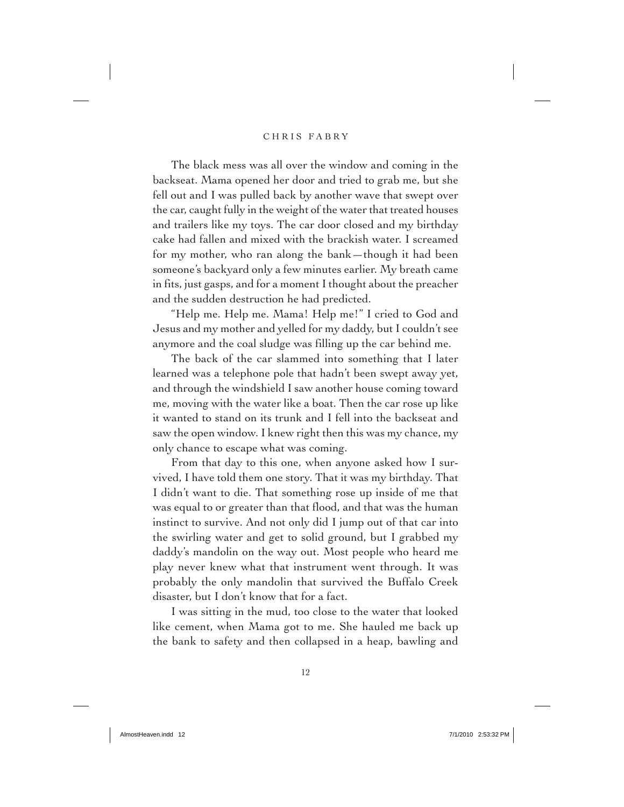The black mess was all over the window and coming in the backseat. Mama opened her door and tried to grab me, but she fell out and I was pulled back by another wave that swept over the car, caught fully in the weight of the water that treated houses and trailers like my toys. The car door closed and my birthday cake had fallen and mixed with the brackish water. I screamed for my mother, who ran along the bank—though it had been someone's backyard only a few minutes earlier. My breath came in fits, just gasps, and for a moment I thought about the preacher and the sudden destruction he had predicted.

"Help me. Help me. Mama! Help me!" I cried to God and Jesus and my mother and yelled for my daddy, but I couldn't see anymore and the coal sludge was filling up the car behind me.

The back of the car slammed into something that I later learned was a telephone pole that hadn't been swept away yet, and through the windshield I saw another house coming toward me, moving with the water like a boat. Then the car rose up like it wanted to stand on its trunk and I fell into the backseat and saw the open window. I knew right then this was my chance, my only chance to escape what was coming.

From that day to this one, when anyone asked how I survived, I have told them one story. That it was my birthday. That I didn't want to die. That something rose up inside of me that was equal to or greater than that flood, and that was the human instinct to survive. And not only did I jump out of that car into the swirling water and get to solid ground, but I grabbed my daddy's mandolin on the way out. Most people who heard me play never knew what that instrument went through. It was probably the only mandolin that survived the Buffalo Creek disaster, but I don't know that for a fact.

I was sitting in the mud, too close to the water that looked like cement, when Mama got to me. She hauled me back up the bank to safety and then collapsed in a heap, bawling and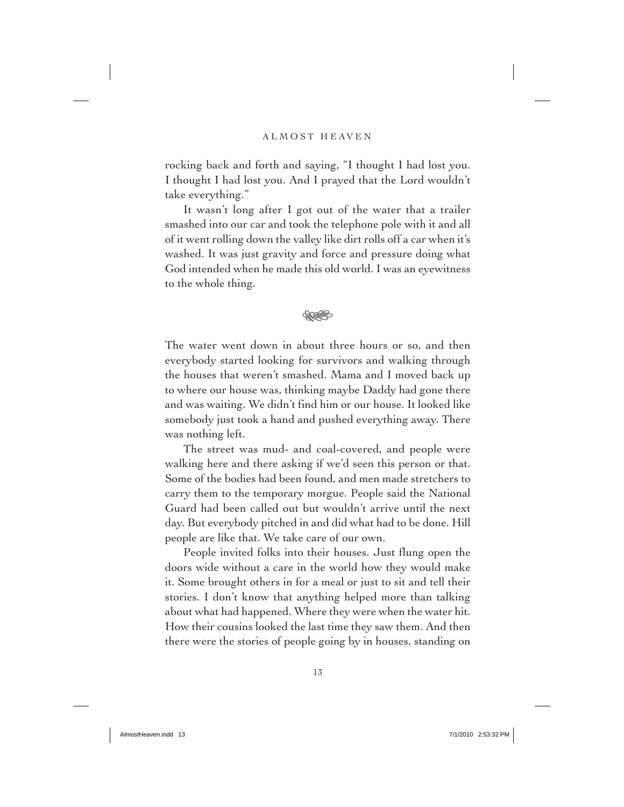rocking back and forth and saying, "I thought I had lost you. I thought I had lost you. And I prayed that the Lord wouldn't take everything."

It wasn't long after I got out of the water that a trailer smashed into our car and took the telephone pole with it and all of it went rolling down the valley like dirt rolls off a car when it's washed. It was just gravity and force and pressure doing what God intended when he made this old world. I was an eyewitness to the whole thing.



The water went down in about three hours or so, and then everybody started looking for survivors and walking through the houses that weren't smashed. Mama and I moved back up to where our house was, thinking maybe Daddy had gone there and was waiting. We didn't find him or our house. It looked like somebody just took a hand and pushed everything away. There was nothing left.

The street was mud- and coal-covered, and people were walking here and there asking if we'd seen this person or that. Some of the bodies had been found, and men made stretchers to carry them to the temporary morgue. People said the National Guard had been called out but wouldn't arrive until the next day. But everybody pitched in and did what had to be done. Hill people are like that. We take care of our own.

People invited folks into their houses. Just flung open the doors wide without a care in the world how they would make it. Some brought others in for a meal or just to sit and tell their stories. I don't know that anything helped more than talking about what had happened. Where they were when the water hit. How their cousins looked the last time they saw them. And then there were the stories of people going by in houses, standing on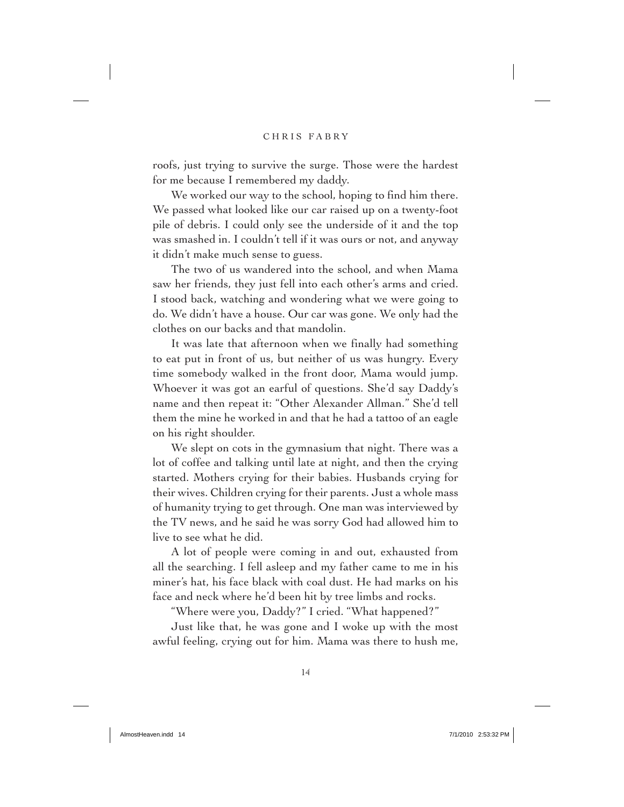roofs, just trying to survive the surge. Those were the hardest for me because I remembered my daddy.

We worked our way to the school, hoping to find him there. We passed what looked like our car raised up on a twenty-foot pile of debris. I could only see the underside of it and the top was smashed in. I couldn't tell if it was ours or not, and anyway it didn't make much sense to guess.

The two of us wandered into the school, and when Mama saw her friends, they just fell into each other's arms and cried. I stood back, watching and wondering what we were going to do. We didn't have a house. Our car was gone. We only had the clothes on our backs and that mandolin.

It was late that afternoon when we finally had something to eat put in front of us, but neither of us was hungry. Every time somebody walked in the front door, Mama would jump. Whoever it was got an earful of questions. She'd say Daddy's name and then repeat it: "Other Alexander Allman." She'd tell them the mine he worked in and that he had a tattoo of an eagle on his right shoulder.

We slept on cots in the gymnasium that night. There was a lot of coffee and talking until late at night, and then the crying started. Mothers crying for their babies. Husbands crying for their wives. Children crying for their parents. Just a whole mass of humanity trying to get through. One man was interviewed by the TV news, and he said he was sorry God had allowed him to live to see what he did.

A lot of people were coming in and out, exhausted from all the searching. I fell asleep and my father came to me in his miner's hat, his face black with coal dust. He had marks on his face and neck where he'd been hit by tree limbs and rocks.

"Where were you, Daddy?" I cried. "What happened?"

Just like that, he was gone and I woke up with the most awful feeling, crying out for him. Mama was there to hush me,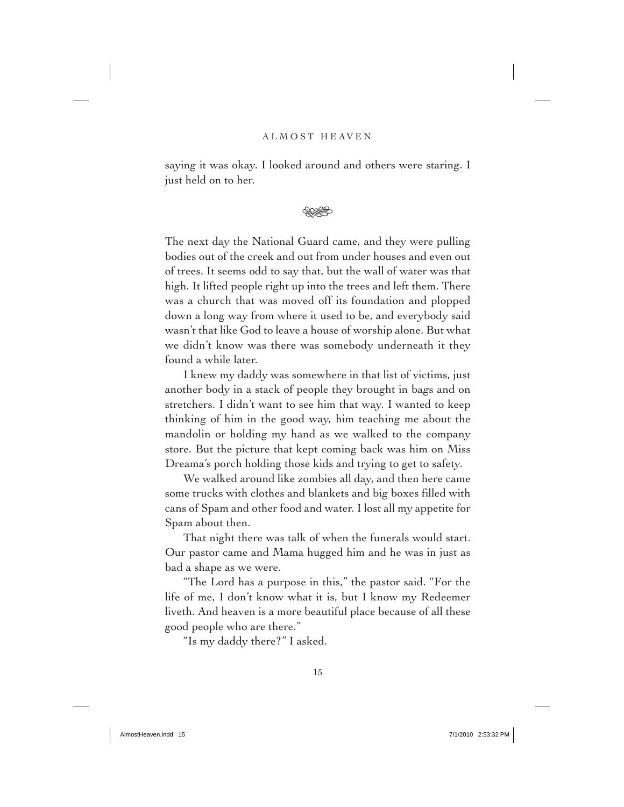saying it was okay. I looked around and others were staring. I just held on to her.



The next day the National Guard came, and they were pulling bodies out of the creek and out from under houses and even out of trees. It seems odd to say that, but the wall of water was that high. It lifted people right up into the trees and left them. There was a church that was moved off its foundation and plopped down a long way from where it used to be, and everybody said wasn't that like God to leave a house of worship alone. But what we didn't know was there was somebody underneath it they found a while later.

I knew my daddy was somewhere in that list of victims, just another body in a stack of people they brought in bags and on stretchers. I didn't want to see him that way. I wanted to keep thinking of him in the good way, him teaching me about the mandolin or holding my hand as we walked to the company store. But the picture that kept coming back was him on Miss Dreama's porch holding those kids and trying to get to safety.

We walked around like zombies all day, and then here came some trucks with clothes and blankets and big boxes filled with cans of Spam and other food and water. I lost all my appetite for Spam about then.

That night there was talk of when the funerals would start. Our pastor came and Mama hugged him and he was in just as bad a shape as we were.

"The Lord has a purpose in this," the pastor said. "For the life of me, I don't know what it is, but I know my Redeemer liveth. And heaven is a more beautiful place because of all these good people who are there."

"Is my daddy there?" I asked.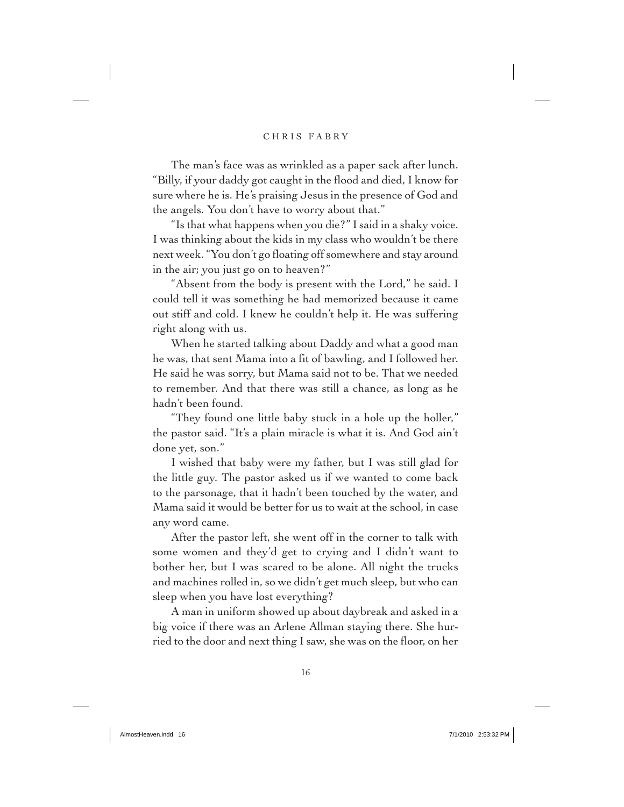The man's face was as wrinkled as a paper sack after lunch. "Billy, if your daddy got caught in the flood and died, I know for sure where he is. He's praising Jesus in the presence of God and the angels. You don't have to worry about that."

"Is that what happens when you die?" I said in a shaky voice. I was thinking about the kids in my class who wouldn't be there next week. "You don't go floating off somewhere and stay around in the air; you just go on to heaven?"

"Absent from the body is present with the Lord," he said. I could tell it was something he had memorized because it came out stiff and cold. I knew he couldn't help it. He was suffering right along with us.

When he started talking about Daddy and what a good man he was, that sent Mama into a fit of bawling, and I followed her. He said he was sorry, but Mama said not to be. That we needed to remember. And that there was still a chance, as long as he hadn't been found.

"They found one little baby stuck in a hole up the holler," the pastor said. "It's a plain miracle is what it is. And God ain't done yet, son."

I wished that baby were my father, but I was still glad for the little guy. The pastor asked us if we wanted to come back to the parsonage, that it hadn't been touched by the water, and Mama said it would be better for us to wait at the school, in case any word came.

After the pastor left, she went off in the corner to talk with some women and they'd get to crying and I didn't want to bother her, but I was scared to be alone. All night the trucks and machines rolled in, so we didn't get much sleep, but who can sleep when you have lost everything?

A man in uniform showed up about daybreak and asked in a big voice if there was an Arlene Allman staying there. She hurried to the door and next thing I saw, she was on the floor, on her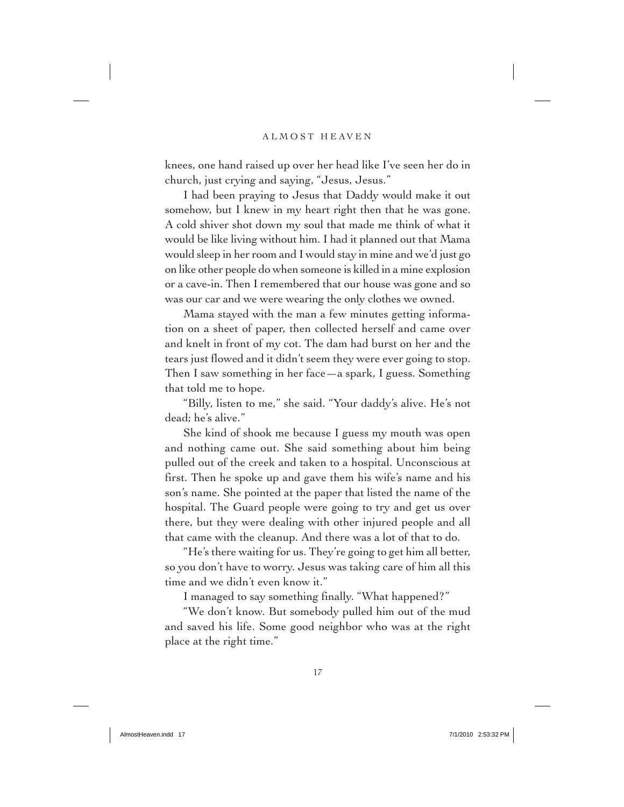knees, one hand raised up over her head like I've seen her do in church, just crying and saying, "Jesus, Jesus."

I had been praying to Jesus that Daddy would make it out somehow, but I knew in my heart right then that he was gone. A cold shiver shot down my soul that made me think of what it would be like living without him. I had it planned out that Mama would sleep in her room and I would stay in mine and we'd just go on like other people do when someone is killed in a mine explosion or a cave-in. Then I remembered that our house was gone and so was our car and we were wearing the only clothes we owned.

Mama stayed with the man a few minutes getting information on a sheet of paper, then collected herself and came over and knelt in front of my cot. The dam had burst on her and the tears just flowed and it didn't seem they were ever going to stop. Then I saw something in her face—a spark, I guess. Something that told me to hope.

"Billy, listen to me," she said. "Your daddy's alive. He's not dead; he's alive."

She kind of shook me because I guess my mouth was open and nothing came out. She said something about him being pulled out of the creek and taken to a hospital. Unconscious at first. Then he spoke up and gave them his wife's name and his son's name. She pointed at the paper that listed the name of the hospital. The Guard people were going to try and get us over there, but they were dealing with other injured people and all that came with the cleanup. And there was a lot of that to do.

"He's there waiting for us. They're going to get him all better, so you don't have to worry. Jesus was taking care of him all this time and we didn't even know it."

I managed to say something finally. "What happened?"

"We don't know. But somebody pulled him out of the mud and saved his life. Some good neighbor who was at the right place at the right time."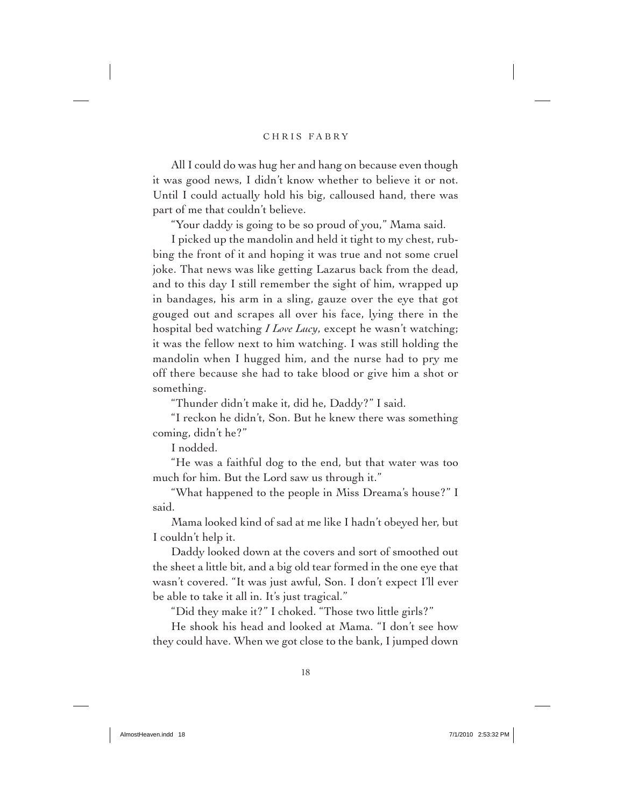All I could do was hug her and hang on because even though it was good news, I didn't know whether to believe it or not. Until I could actually hold his big, calloused hand, there was part of me that couldn't believe.

"Your daddy is going to be so proud of you," Mama said.

I picked up the mandolin and held it tight to my chest, rubbing the front of it and hoping it was true and not some cruel joke. That news was like getting Lazarus back from the dead, and to this day I still remember the sight of him, wrapped up in bandages, his arm in a sling, gauze over the eye that got gouged out and scrapes all over his face, lying there in the hospital bed watching *I Love Lucy*, except he wasn't watching; it was the fellow next to him watching. I was still holding the mandolin when I hugged him, and the nurse had to pry me off there because she had to take blood or give him a shot or something.

"Thunder didn't make it, did he, Daddy?" I said.

"I reckon he didn't, Son. But he knew there was something coming, didn't he?"

I nodded.

"He was a faithful dog to the end, but that water was too much for him. But the Lord saw us through it."

"What happened to the people in Miss Dreama's house?" I said.

Mama looked kind of sad at me like I hadn't obeyed her, but I couldn't help it.

Daddy looked down at the covers and sort of smoothed out the sheet a little bit, and a big old tear formed in the one eye that wasn't covered. "It was just awful, Son. I don't expect I'll ever be able to take it all in. It's just tragical."

"Did they make it?" I choked. "Those two little girls?"

He shook his head and looked at Mama. "I don't see how they could have. When we got close to the bank, I jumped down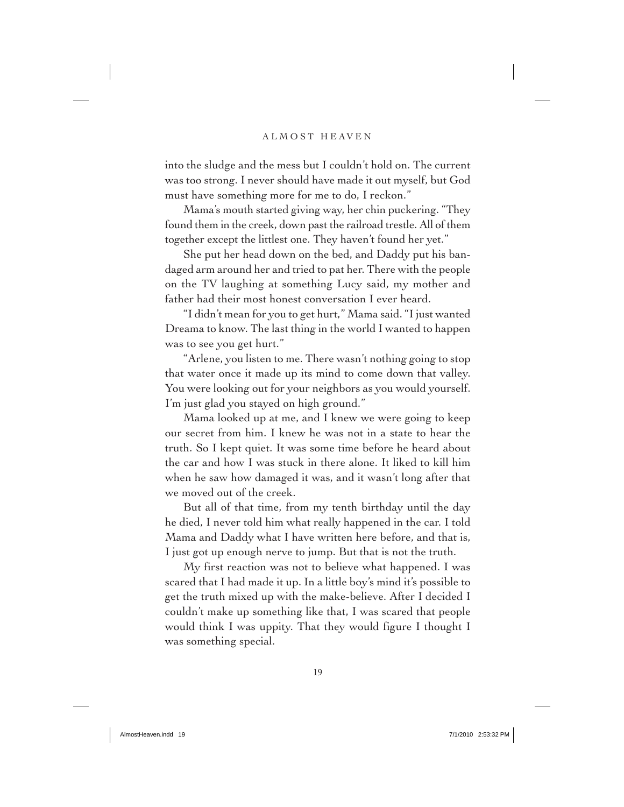into the sludge and the mess but I couldn't hold on. The current was too strong. I never should have made it out myself, but God must have something more for me to do, I reckon."

Mama's mouth started giving way, her chin puckering. "They found them in the creek, down past the railroad trestle. All of them together except the littlest one. They haven't found her yet."

She put her head down on the bed, and Daddy put his bandaged arm around her and tried to pat her. There with the people on the TV laughing at something Lucy said, my mother and father had their most honest conversation I ever heard.

"I didn't mean for you to get hurt," Mama said. "I just wanted Dreama to know. The last thing in the world I wanted to happen was to see you get hurt."

"Arlene, you listen to me. There wasn't nothing going to stop that water once it made up its mind to come down that valley. You were looking out for your neighbors as you would yourself. I'm just glad you stayed on high ground."

Mama looked up at me, and I knew we were going to keep our secret from him. I knew he was not in a state to hear the truth. So I kept quiet. It was some time before he heard about the car and how I was stuck in there alone. It liked to kill him when he saw how damaged it was, and it wasn't long after that we moved out of the creek.

But all of that time, from my tenth birthday until the day he died, I never told him what really happened in the car. I told Mama and Daddy what I have written here before, and that is, I just got up enough nerve to jump. But that is not the truth.

My first reaction was not to believe what happened. I was scared that I had made it up. In a little boy's mind it's possible to get the truth mixed up with the make-believe. After I decided I couldn't make up something like that, I was scared that people would think I was uppity. That they would figure I thought I was something special.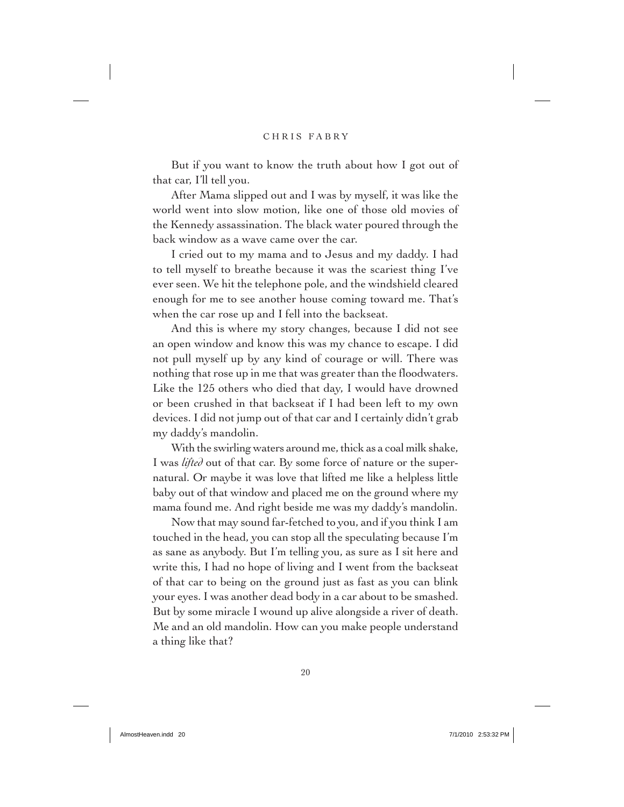But if you want to know the truth about how I got out of that car, I'll tell you.

After Mama slipped out and I was by myself, it was like the world went into slow motion, like one of those old movies of the Kennedy assassination. The black water poured through the back window as a wave came over the car.

I cried out to my mama and to Jesus and my daddy. I had to tell myself to breathe because it was the scariest thing I've ever seen. We hit the telephone pole, and the windshield cleared enough for me to see another house coming toward me. That's when the car rose up and I fell into the backseat.

And this is where my story changes, because I did not see an open window and know this was my chance to escape. I did not pull myself up by any kind of courage or will. There was nothing that rose up in me that was greater than the floodwaters. Like the 125 others who died that day, I would have drowned or been crushed in that backseat if I had been left to my own devices. I did not jump out of that car and I certainly didn't grab my daddy's mandolin.

With the swirling waters around me, thick as a coal milk shake, I was *lifted* out of that car. By some force of nature or the supernatural. Or maybe it was love that lifted me like a helpless little baby out of that window and placed me on the ground where my mama found me. And right beside me was my daddy's mandolin.

Now that may sound far-fetched to you, and if you think I am touched in the head, you can stop all the speculating because I'm as sane as anybody. But I'm telling you, as sure as I sit here and write this, I had no hope of living and I went from the backseat of that car to being on the ground just as fast as you can blink your eyes. I was another dead body in a car about to be smashed. But by some miracle I wound up alive alongside a river of death. Me and an old mandolin. How can you make people understand a thing like that?